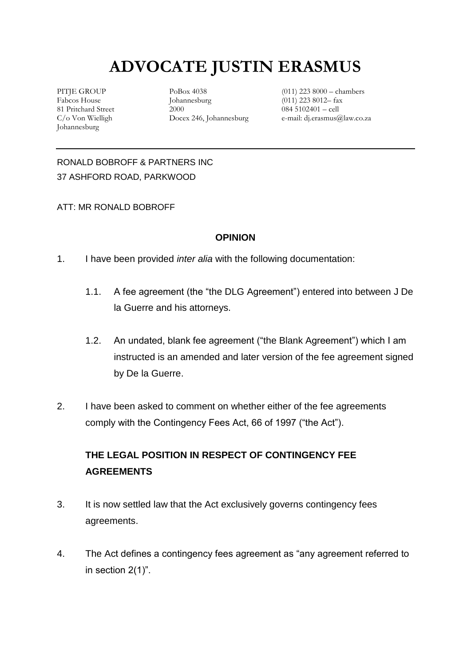# **ADVOCATE JUSTIN ERASMUS**

PITJE GROUP Fabcos House 81 Pritchard Street C/o Von Wielligh Johannesburg

PoBox 4038 Johannesburg 2000 Docex 246, Johannesburg

(011) 223 8000 – chambers (011) 223 8012– fax  $084\,5102401$  – cell e-mail: dj.erasmus@law.co.za

RONALD BOBROFF & PARTNERS INC 37 ASHFORD ROAD, PARKWOOD

#### ATT: MR RONALD BOBROFF

# **OPINION**

- 1. I have been provided *inter alia* with the following documentation:
	- 1.1. A fee agreement (the "the DLG Agreement") entered into between J De la Guerre and his attorneys.
	- 1.2. An undated, blank fee agreement ("the Blank Agreement") which I am instructed is an amended and later version of the fee agreement signed by De la Guerre.
- 2. I have been asked to comment on whether either of the fee agreements comply with the Contingency Fees Act, 66 of 1997 ("the Act").

# **THE LEGAL POSITION IN RESPECT OF CONTINGENCY FEE AGREEMENTS**

- 3. It is now settled law that the Act exclusively governs contingency fees agreements.
- 4. The Act defines a contingency fees agreement as "any agreement referred to in section 2(1)".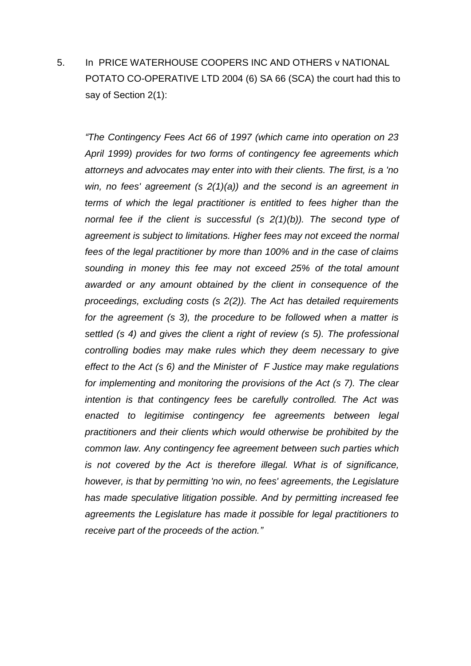5. In PRICE WATERHOUSE COOPERS INC AND OTHERS v NATIONAL POTATO CO-OPERATIVE LTD 2004 (6) SA 66 (SCA) the court had this to say of Section 2(1):

*"The Contingency Fees Act 66 of 1997 (which came into operation on 23 April 1999) provides for two forms of contingency fee agreements which attorneys and advocates may enter into with their clients. The first, is a 'no win, no fees' agreement (s 2(1)(a)) and the second is an agreement in terms of which the legal practitioner is entitled to fees higher than the normal fee if the client is successful (s 2(1)(b)). The second type of agreement is subject to limitations. Higher fees may not exceed the normal fees of the legal practitioner by more than 100% and in the case of claims sounding in money this fee may not exceed 25% of the total amount awarded or any amount obtained by the client in consequence of the proceedings, excluding costs (s 2(2)). The Act has detailed requirements for the agreement (s 3), the procedure to be followed when a matter is settled (s 4) and gives the client a right of review (s 5). The professional controlling bodies may make rules which they deem necessary to give effect to the Act (s 6) and the Minister of F Justice may make regulations for implementing and monitoring the provisions of the Act (s 7). The clear intention is that contingency fees be carefully controlled. The Act was enacted to legitimise contingency fee agreements between legal practitioners and their clients which would otherwise be prohibited by the common law. Any contingency fee agreement between such parties which is not covered by the Act is therefore illegal. What is of significance, however, is that by permitting 'no win, no fees' agreements, the Legislature has made speculative litigation possible. And by permitting increased fee agreements the Legislature has made it possible for legal practitioners to receive part of the proceeds of the action."*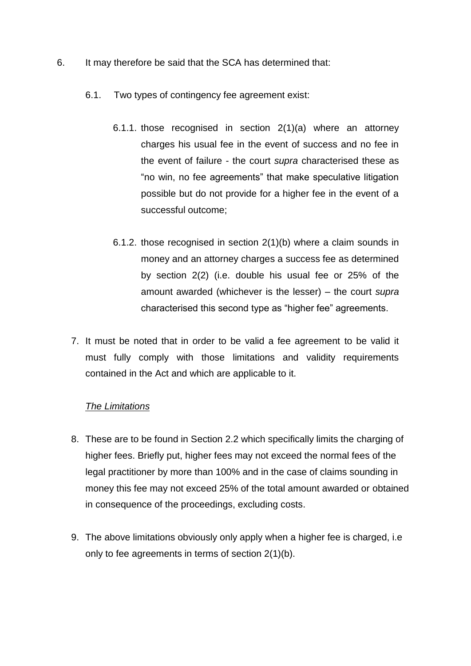- 6. It may therefore be said that the SCA has determined that:
	- 6.1. Two types of contingency fee agreement exist:
		- 6.1.1. those recognised in section 2(1)(a) where an attorney charges his usual fee in the event of success and no fee in the event of failure - the court *supra* characterised these as "no win, no fee agreements" that make speculative litigation possible but do not provide for a higher fee in the event of a successful outcome;
		- 6.1.2. those recognised in section 2(1)(b) where a claim sounds in money and an attorney charges a success fee as determined by section 2(2) (i.e. double his usual fee or 25% of the amount awarded (whichever is the lesser) – the court *supra* characterised this second type as "higher fee" agreements.
	- 7. It must be noted that in order to be valid a fee agreement to be valid it must fully comply with those limitations and validity requirements contained in the Act and which are applicable to it.

## *The Limitations*

- 8. These are to be found in Section 2.2 which specifically limits the charging of higher fees. Briefly put, higher fees may not exceed the normal fees of the legal practitioner by more than 100% and in the case of claims sounding in money this fee may not exceed 25% of the total amount awarded or obtained in consequence of the proceedings, excluding costs.
- 9. The above limitations obviously only apply when a higher fee is charged, i.e only to fee agreements in terms of section 2(1)(b).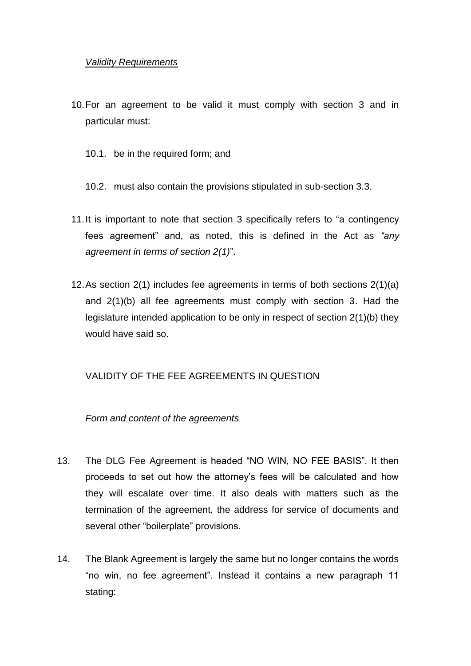#### *Validity Requirements*

- 10.For an agreement to be valid it must comply with section 3 and in particular must:
	- 10.1. be in the required form; and
	- 10.2. must also contain the provisions stipulated in sub-section 3.3.
- 11.It is important to note that section 3 specifically refers to "a contingency fees agreement" and, as noted, this is defined in the Act as *"any agreement in terms of section 2(1)*".
- 12.As section 2(1) includes fee agreements in terms of both sections 2(1)(a) and 2(1)(b) all fee agreements must comply with section 3. Had the legislature intended application to be only in respect of section 2(1)(b) they would have said so.

## VALIDITY OF THE FEE AGREEMENTS IN QUESTION

*Form and content of the agreements*

- 13. The DLG Fee Agreement is headed "NO WIN, NO FEE BASIS". It then proceeds to set out how the attorney's fees will be calculated and how they will escalate over time. It also deals with matters such as the termination of the agreement, the address for service of documents and several other "boilerplate" provisions.
- 14. The Blank Agreement is largely the same but no longer contains the words "no win, no fee agreement". Instead it contains a new paragraph 11 stating: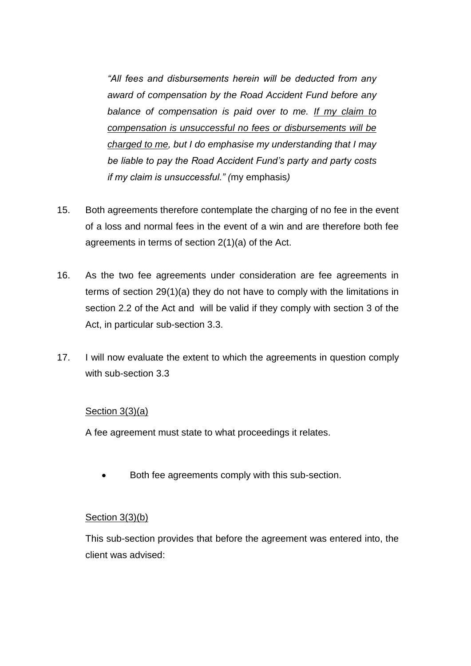*"All fees and disbursements herein will be deducted from any award of compensation by the Road Accident Fund before any balance of compensation is paid over to me. If my claim to compensation is unsuccessful no fees or disbursements will be charged to me, but I do emphasise my understanding that I may be liable to pay the Road Accident Fund's party and party costs if my claim is unsuccessful." (*my emphasis*)*

- 15. Both agreements therefore contemplate the charging of no fee in the event of a loss and normal fees in the event of a win and are therefore both fee agreements in terms of section 2(1)(a) of the Act.
- 16. As the two fee agreements under consideration are fee agreements in terms of section 29(1)(a) they do not have to comply with the limitations in section 2.2 of the Act and will be valid if they comply with section 3 of the Act, in particular sub-section 3.3.
- 17. I will now evaluate the extent to which the agreements in question comply with sub-section 3.3

#### Section 3(3)(a)

A fee agreement must state to what proceedings it relates.

Both fee agreements comply with this sub-section.

#### Section 3(3)(b)

This sub-section provides that before the agreement was entered into, the client was advised: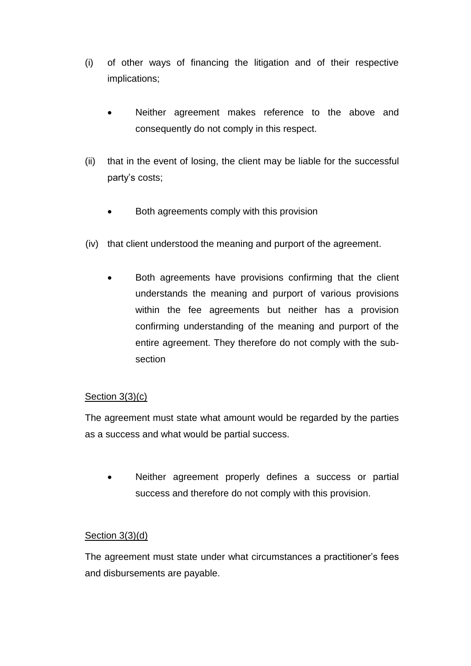- (i) of other ways of financing the litigation and of their respective implications;
	- Neither agreement makes reference to the above and consequently do not comply in this respect.
- (ii) that in the event of losing, the client may be liable for the successful party's costs;
	- Both agreements comply with this provision
- (iv) that client understood the meaning and purport of the agreement.
	- Both agreements have provisions confirming that the client understands the meaning and purport of various provisions within the fee agreements but neither has a provision confirming understanding of the meaning and purport of the entire agreement. They therefore do not comply with the subsection

## Section 3(3)(c)

The agreement must state what amount would be regarded by the parties as a success and what would be partial success.

 Neither agreement properly defines a success or partial success and therefore do not comply with this provision.

## Section 3(3)(d)

The agreement must state under what circumstances a practitioner's fees and disbursements are payable.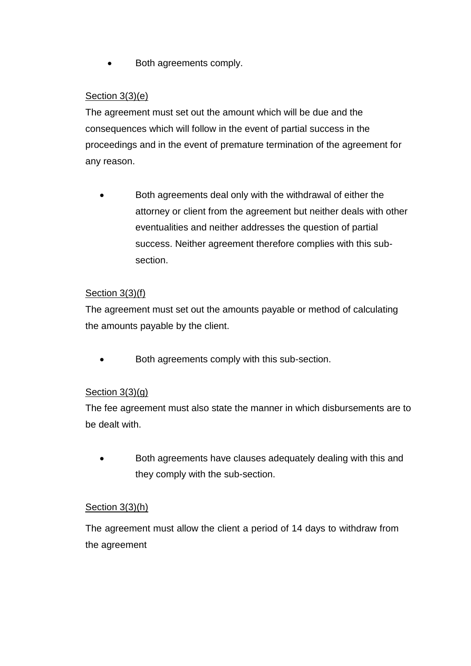• Both agreements comply.

## Section 3(3)(e)

The agreement must set out the amount which will be due and the consequences which will follow in the event of partial success in the proceedings and in the event of premature termination of the agreement for any reason.

 Both agreements deal only with the withdrawal of either the attorney or client from the agreement but neither deals with other eventualities and neither addresses the question of partial success. Neither agreement therefore complies with this subsection.

## Section 3(3)(f)

The agreement must set out the amounts payable or method of calculating the amounts payable by the client.

Both agreements comply with this sub-section.

## Section 3(3)(g)

The fee agreement must also state the manner in which disbursements are to be dealt with.

 Both agreements have clauses adequately dealing with this and they comply with the sub-section.

## Section 3(3)(h)

The agreement must allow the client a period of 14 days to withdraw from the agreement